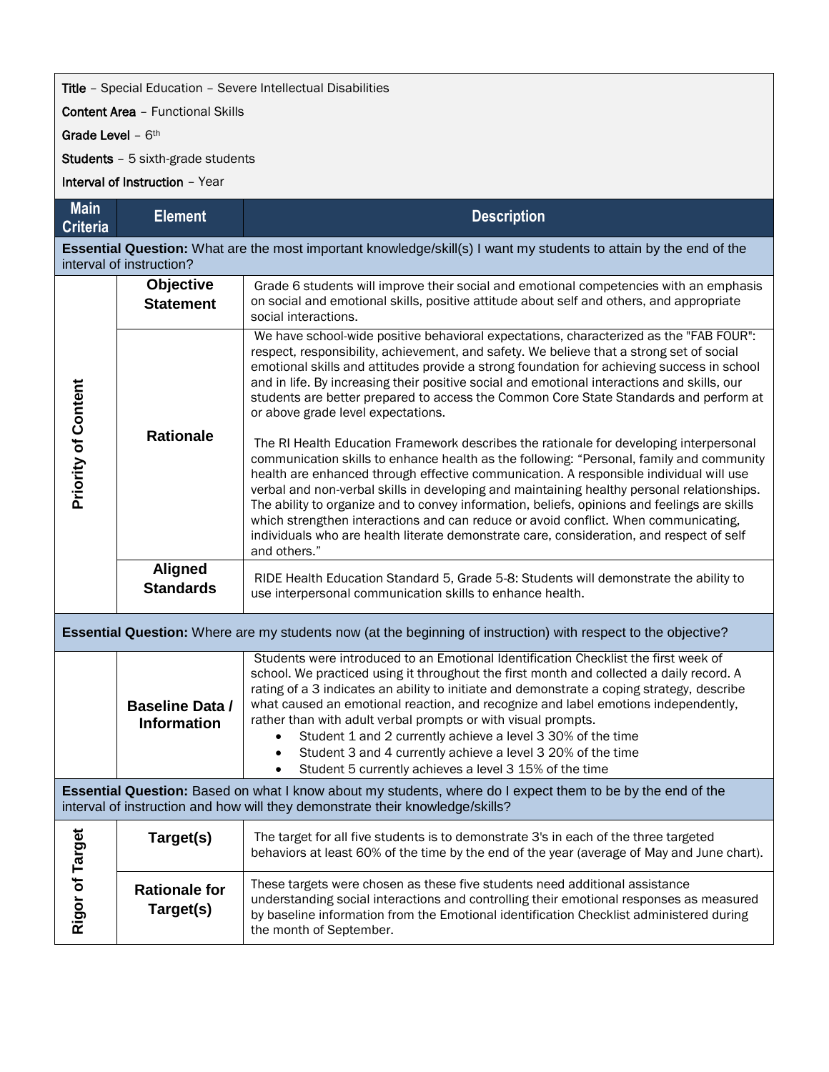## **Title** - Special Education - Severe Intellectual Disabilities

Content Area – Functional Skills

Grade Level - 6<sup>th</sup>

Students – 5 sixth-grade students

Interval of Instruction – Year

| <b>Main</b><br><b>Criteria</b>                                                                                                                                                              | <b>Element</b>                               | <b>Description</b>                                                                                                                                                                                                                                                                                                                                                                                                                                                                                                                                                                                                                                                            |  |  |
|---------------------------------------------------------------------------------------------------------------------------------------------------------------------------------------------|----------------------------------------------|-------------------------------------------------------------------------------------------------------------------------------------------------------------------------------------------------------------------------------------------------------------------------------------------------------------------------------------------------------------------------------------------------------------------------------------------------------------------------------------------------------------------------------------------------------------------------------------------------------------------------------------------------------------------------------|--|--|
| Essential Question: What are the most important knowledge/skill(s) I want my students to attain by the end of the<br>interval of instruction?                                               |                                              |                                                                                                                                                                                                                                                                                                                                                                                                                                                                                                                                                                                                                                                                               |  |  |
| <b>Priority of Content</b>                                                                                                                                                                  | Objective<br><b>Statement</b>                | Grade 6 students will improve their social and emotional competencies with an emphasis<br>on social and emotional skills, positive attitude about self and others, and appropriate<br>social interactions.                                                                                                                                                                                                                                                                                                                                                                                                                                                                    |  |  |
|                                                                                                                                                                                             | <b>Rationale</b>                             | We have school-wide positive behavioral expectations, characterized as the "FAB FOUR":<br>respect, responsibility, achievement, and safety. We believe that a strong set of social<br>emotional skills and attitudes provide a strong foundation for achieving success in school<br>and in life. By increasing their positive social and emotional interactions and skills, our<br>students are better prepared to access the Common Core State Standards and perform at<br>or above grade level expectations.                                                                                                                                                                |  |  |
|                                                                                                                                                                                             |                                              | The RI Health Education Framework describes the rationale for developing interpersonal<br>communication skills to enhance health as the following: "Personal, family and community<br>health are enhanced through effective communication. A responsible individual will use<br>verbal and non-verbal skills in developing and maintaining healthy personal relationships.<br>The ability to organize and to convey information, beliefs, opinions and feelings are skills<br>which strengthen interactions and can reduce or avoid conflict. When communicating,<br>individuals who are health literate demonstrate care, consideration, and respect of self<br>and others." |  |  |
|                                                                                                                                                                                             | <b>Aligned</b><br><b>Standards</b>           | RIDE Health Education Standard 5, Grade 5-8: Students will demonstrate the ability to<br>use interpersonal communication skills to enhance health.                                                                                                                                                                                                                                                                                                                                                                                                                                                                                                                            |  |  |
| <b>Essential Question:</b> Where are my students now (at the beginning of instruction) with respect to the objective?                                                                       |                                              |                                                                                                                                                                                                                                                                                                                                                                                                                                                                                                                                                                                                                                                                               |  |  |
|                                                                                                                                                                                             | <b>Baseline Data /</b><br><b>Information</b> | Students were introduced to an Emotional Identification Checklist the first week of<br>school. We practiced using it throughout the first month and collected a daily record. A<br>rating of a 3 indicates an ability to initiate and demonstrate a coping strategy, describe<br>what caused an emotional reaction, and recognize and label emotions independently,<br>rather than with adult verbal prompts or with visual prompts.<br>Student 1 and 2 currently achieve a level 3 30% of the time<br>$\bullet$<br>Student 3 and 4 currently achieve a level 3 20% of the time<br>$\bullet$<br>Student 5 currently achieves a level 3 15% of the time<br>$\bullet$           |  |  |
| Essential Question: Based on what I know about my students, where do I expect them to be by the end of the<br>interval of instruction and how will they demonstrate their knowledge/skills? |                                              |                                                                                                                                                                                                                                                                                                                                                                                                                                                                                                                                                                                                                                                                               |  |  |
| Rigor of Target                                                                                                                                                                             | Target(s)                                    | The target for all five students is to demonstrate 3's in each of the three targeted<br>behaviors at least 60% of the time by the end of the year (average of May and June chart).                                                                                                                                                                                                                                                                                                                                                                                                                                                                                            |  |  |
|                                                                                                                                                                                             | <b>Rationale for</b><br>Target(s)            | These targets were chosen as these five students need additional assistance<br>understanding social interactions and controlling their emotional responses as measured<br>by baseline information from the Emotional identification Checklist administered during<br>the month of September.                                                                                                                                                                                                                                                                                                                                                                                  |  |  |